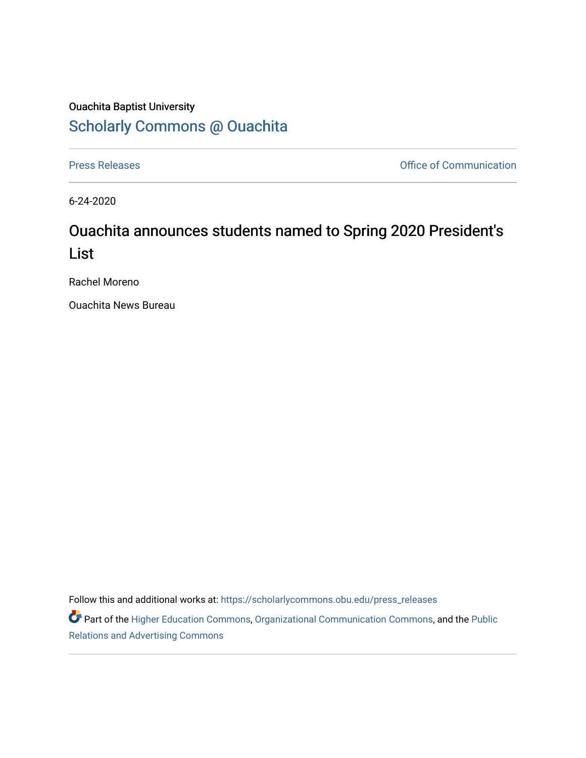## Ouachita Baptist University [Scholarly Commons @ Ouachita](https://scholarlycommons.obu.edu/)

[Press Releases](https://scholarlycommons.obu.edu/press_releases) **Press Releases Communication** 

6-24-2020

## Ouachita announces students named to Spring 2020 President's List

Rachel Moreno

Ouachita News Bureau

Follow this and additional works at: [https://scholarlycommons.obu.edu/press\\_releases](https://scholarlycommons.obu.edu/press_releases?utm_source=scholarlycommons.obu.edu%2Fpress_releases%2F765&utm_medium=PDF&utm_campaign=PDFCoverPages)

Part of the [Higher Education Commons,](http://network.bepress.com/hgg/discipline/1245?utm_source=scholarlycommons.obu.edu%2Fpress_releases%2F765&utm_medium=PDF&utm_campaign=PDFCoverPages) [Organizational Communication Commons,](http://network.bepress.com/hgg/discipline/335?utm_source=scholarlycommons.obu.edu%2Fpress_releases%2F765&utm_medium=PDF&utm_campaign=PDFCoverPages) and the [Public](http://network.bepress.com/hgg/discipline/336?utm_source=scholarlycommons.obu.edu%2Fpress_releases%2F765&utm_medium=PDF&utm_campaign=PDFCoverPages) [Relations and Advertising Commons](http://network.bepress.com/hgg/discipline/336?utm_source=scholarlycommons.obu.edu%2Fpress_releases%2F765&utm_medium=PDF&utm_campaign=PDFCoverPages)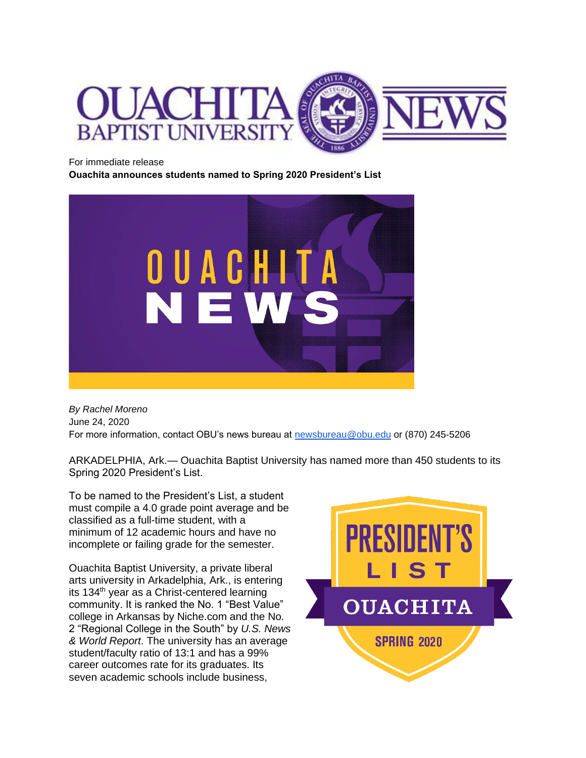

For immediate release

**Ouachita announces students named to Spring 2020 President's List**



*By Rachel Moreno* June 24, 2020 For more information, contact OBU's news bureau at [newsbureau@obu.edu](mailto:newsbureau@obu.edu) or (870) 245-5206

ARKADELPHIA, Ark.— Ouachita Baptist University has named more than 450 students to its Spring 2020 President's List.

To be named to the President's List, a student must compile a 4.0 grade point average and be classified as a full-time student, with a minimum of 12 academic hours and have no incomplete or failing grade for the semester.

Ouachita Baptist University, a private liberal arts university in Arkadelphia, Ark., is entering its 134<sup>th</sup> year as a Christ-centered learning community. It is ranked the No. 1 "Best Value" college in Arkansas by Niche.com and the No. 2 "Regional College in the South" by *U.S. News & World Report*. The university has an average student/faculty ratio of 13:1 and has a 99% career outcomes rate for its graduates. Its seven academic schools include business,

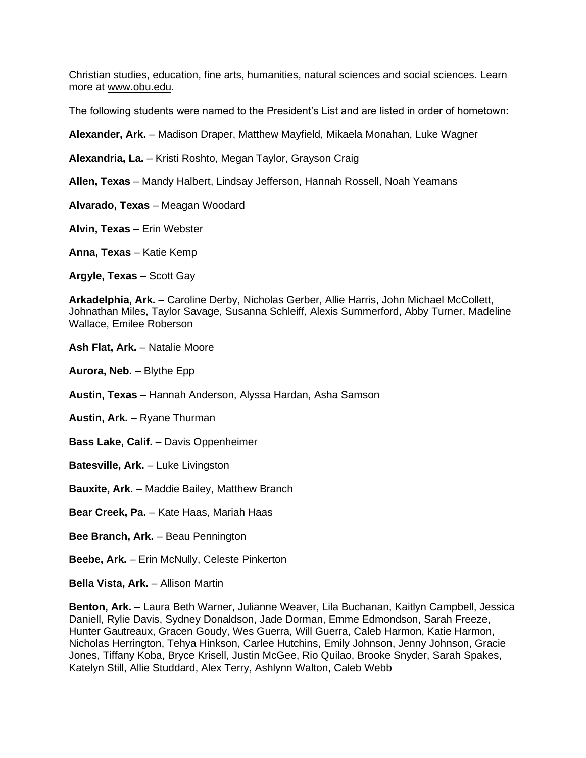Christian studies, education, fine arts, humanities, natural sciences and social sciences. Learn more at [www.obu.edu.](http://www.obu.edu/)

The following students were named to the President's List and are listed in order of hometown:

**Alexander, Ark.** – Madison Draper, Matthew Mayfield, Mikaela Monahan, Luke Wagner

**Alexandria, La.** – Kristi Roshto, Megan Taylor, Grayson Craig

**Allen, Texas** – Mandy Halbert, Lindsay Jefferson, Hannah Rossell, Noah Yeamans

**Alvarado, Texas** – Meagan Woodard

**Alvin, Texas** – Erin Webster

**Anna, Texas** – Katie Kemp

**Argyle, Texas** – Scott Gay

**Arkadelphia, Ark.** – Caroline Derby, Nicholas Gerber, Allie Harris, John Michael McCollett, Johnathan Miles, Taylor Savage, Susanna Schleiff, Alexis Summerford, Abby Turner, Madeline Wallace, Emilee Roberson

**Ash Flat, Ark.** – Natalie Moore

**Aurora, Neb.** – Blythe Epp

**Austin, Texas** – Hannah Anderson, Alyssa Hardan, Asha Samson

**Austin, Ark.** – Ryane Thurman

**Bass Lake, Calif.** – Davis Oppenheimer

**Batesville, Ark.** – Luke Livingston

**Bauxite, Ark.** – Maddie Bailey, Matthew Branch

**Bear Creek, Pa.** – Kate Haas, Mariah Haas

**Bee Branch, Ark.** – Beau Pennington

**Beebe, Ark.** – Erin McNully, Celeste Pinkerton

**Bella Vista, Ark.** – Allison Martin

**Benton, Ark.** – Laura Beth Warner, Julianne Weaver, Lila Buchanan, Kaitlyn Campbell, Jessica Daniell, Rylie Davis, Sydney Donaldson, Jade Dorman, Emme Edmondson, Sarah Freeze, Hunter Gautreaux, Gracen Goudy, Wes Guerra, Will Guerra, Caleb Harmon, Katie Harmon, Nicholas Herrington, Tehya Hinkson, Carlee Hutchins, Emily Johnson, Jenny Johnson, Gracie Jones, Tiffany Koba, Bryce Krisell, Justin McGee, Rio Quilao, Brooke Snyder, Sarah Spakes, Katelyn Still, Allie Studdard, Alex Terry, Ashlynn Walton, Caleb Webb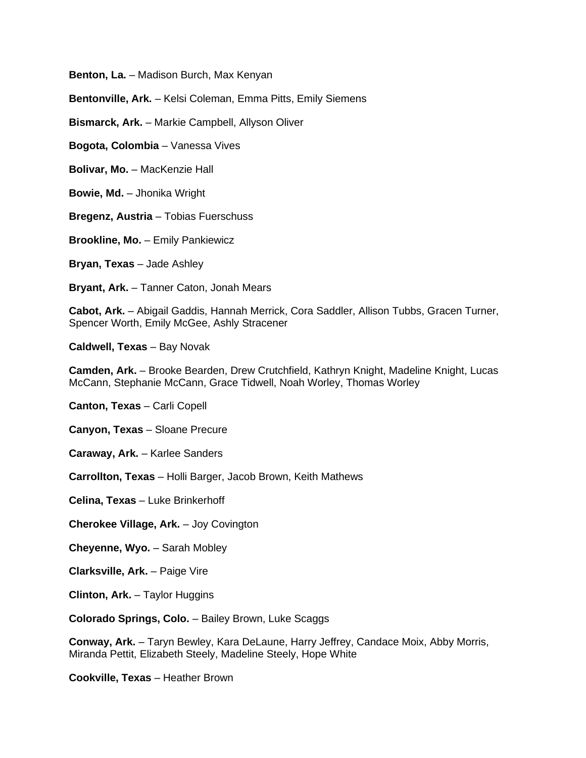**Benton, La.** – Madison Burch, Max Kenyan

**Bentonville, Ark.** – Kelsi Coleman, Emma Pitts, Emily Siemens

**Bismarck, Ark.** – Markie Campbell, Allyson Oliver

**Bogota, Colombia** – Vanessa Vives

**Bolivar, Mo.** – MacKenzie Hall

**Bowie, Md.** – Jhonika Wright

**Bregenz, Austria** – Tobias Fuerschuss

**Brookline, Mo.** – Emily Pankiewicz

**Bryan, Texas** – Jade Ashley

**Bryant, Ark.** – Tanner Caton, Jonah Mears

**Cabot, Ark.** – Abigail Gaddis, Hannah Merrick, Cora Saddler, Allison Tubbs, Gracen Turner, Spencer Worth, Emily McGee, Ashly Stracener

**Caldwell, Texas** – Bay Novak

**Camden, Ark.** – Brooke Bearden, Drew Crutchfield, Kathryn Knight, Madeline Knight, Lucas McCann, Stephanie McCann, Grace Tidwell, Noah Worley, Thomas Worley

**Canton, Texas** – Carli Copell

**Canyon, Texas** – Sloane Precure

**Caraway, Ark.** – Karlee Sanders

**Carrollton, Texas** – Holli Barger, Jacob Brown, Keith Mathews

**Celina, Texas** – Luke Brinkerhoff

**Cherokee Village, Ark.** – Joy Covington

**Cheyenne, Wyo.** – Sarah Mobley

**Clarksville, Ark.** – Paige Vire

**Clinton, Ark.** – Taylor Huggins

**Colorado Springs, Colo.** – Bailey Brown, Luke Scaggs

**Conway, Ark.** – Taryn Bewley, Kara DeLaune, Harry Jeffrey, Candace Moix, Abby Morris, Miranda Pettit, Elizabeth Steely, Madeline Steely, Hope White

**Cookville, Texas** – Heather Brown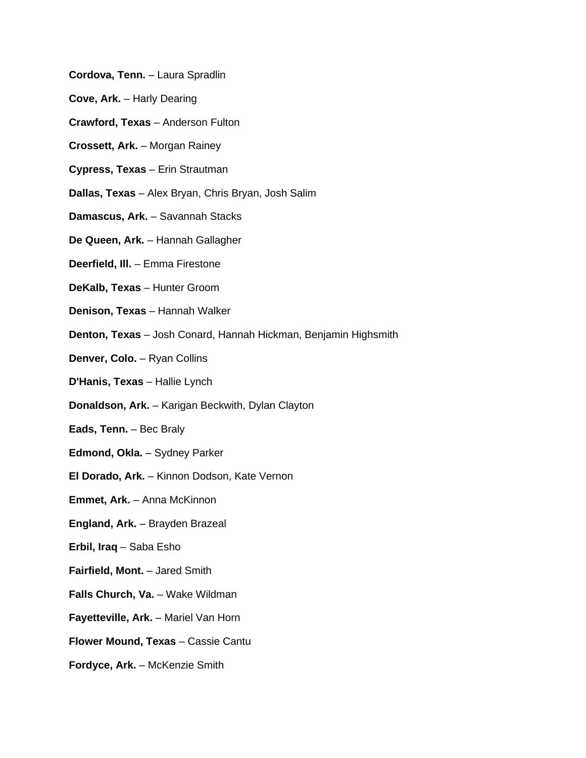- **Cordova, Tenn.** Laura Spradlin
- **Cove, Ark.** Harly Dearing
- **Crawford, Texas** Anderson Fulton
- **Crossett, Ark.** Morgan Rainey
- **Cypress, Texas** Erin Strautman
- **Dallas, Texas** Alex Bryan, Chris Bryan, Josh Salim
- **Damascus, Ark.** Savannah Stacks
- **De Queen, Ark.** Hannah Gallagher
- **Deerfield, Ill.** Emma Firestone
- **DeKalb, Texas** Hunter Groom
- **Denison, Texas** Hannah Walker
- **Denton, Texas** Josh Conard, Hannah Hickman, Benjamin Highsmith
- **Denver, Colo.** Ryan Collins
- **D'Hanis, Texas** Hallie Lynch
- **Donaldson, Ark.** Karigan Beckwith, Dylan Clayton
- **Eads, Tenn.** Bec Braly
- **Edmond, Okla.** Sydney Parker
- **El Dorado, Ark.** Kinnon Dodson, Kate Vernon
- **Emmet, Ark.** Anna McKinnon
- **England, Ark.** Brayden Brazeal
- **Erbil, Iraq** Saba Esho
- **Fairfield, Mont.** Jared Smith
- **Falls Church, Va.** Wake Wildman
- **Fayetteville, Ark.** Mariel Van Horn
- **Flower Mound, Texas** Cassie Cantu
- **Fordyce, Ark.** McKenzie Smith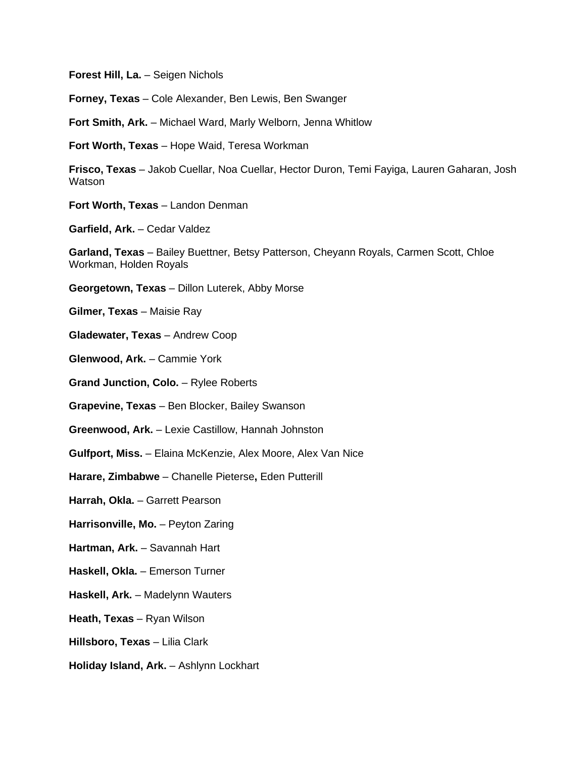**Forest Hill, La.** – Seigen Nichols

**Forney, Texas** – Cole Alexander, Ben Lewis, Ben Swanger

**Fort Smith, Ark.** – Michael Ward, Marly Welborn, Jenna Whitlow

**Fort Worth, Texas** – Hope Waid, Teresa Workman

**Frisco, Texas** – Jakob Cuellar, Noa Cuellar, Hector Duron, Temi Fayiga, Lauren Gaharan, Josh **Watson** 

**Fort Worth, Texas** – Landon Denman

**Garfield, Ark.** – Cedar Valdez

**Garland, Texas** – Bailey Buettner, Betsy Patterson, Cheyann Royals, Carmen Scott, Chloe Workman, Holden Royals

**Georgetown, Texas** – Dillon Luterek, Abby Morse

**Gilmer, Texas** – Maisie Ray

**Gladewater, Texas** – Andrew Coop

**Glenwood, Ark.** – Cammie York

**Grand Junction, Colo.** – Rylee Roberts

**Grapevine, Texas** – Ben Blocker, Bailey Swanson

**Greenwood, Ark.** – Lexie Castillow, Hannah Johnston

**Gulfport, Miss.** – Elaina McKenzie, Alex Moore, Alex Van Nice

**Harare, Zimbabwe** – Chanelle Pieterse**,** Eden Putterill

**Harrah, Okla.** – Garrett Pearson

**Harrisonville, Mo.** – Peyton Zaring

**Hartman, Ark.** – Savannah Hart

**Haskell, Okla.** – Emerson Turner

**Haskell, Ark.** – Madelynn Wauters

**Heath, Texas** – Ryan Wilson

**Hillsboro, Texas** – Lilia Clark

**Holiday Island, Ark.** – Ashlynn Lockhart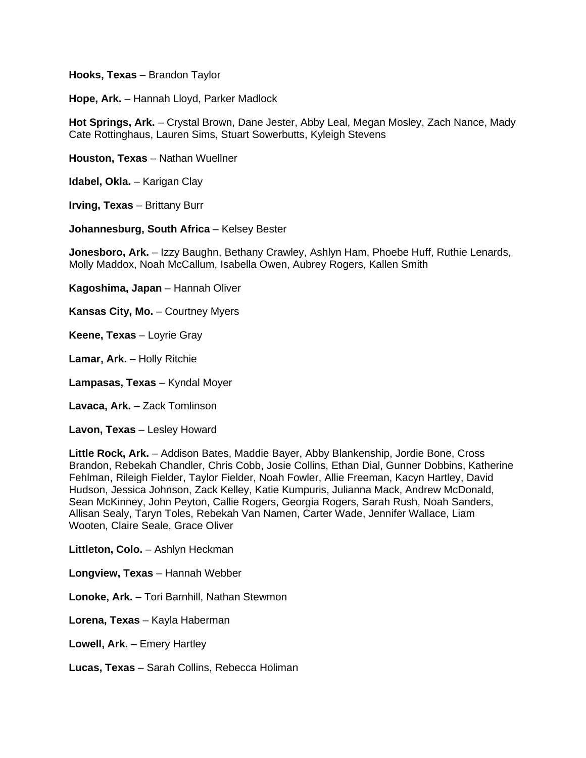**Hooks, Texas** – Brandon Taylor

**Hope, Ark.** – Hannah Lloyd, Parker Madlock

**Hot Springs, Ark.** – Crystal Brown, Dane Jester, Abby Leal, Megan Mosley, Zach Nance, Mady Cate Rottinghaus, Lauren Sims, Stuart Sowerbutts, Kyleigh Stevens

**Houston, Texas** – Nathan Wuellner

**Idabel, Okla.** – Karigan Clay

**Irving, Texas** – Brittany Burr

**Johannesburg, South Africa** – Kelsey Bester

**Jonesboro, Ark.** – Izzy Baughn, Bethany Crawley, Ashlyn Ham, Phoebe Huff, Ruthie Lenards, Molly Maddox, Noah McCallum, Isabella Owen, Aubrey Rogers, Kallen Smith

**Kagoshima, Japan** – Hannah Oliver

**Kansas City, Mo.** – Courtney Myers

**Keene, Texas** – Loyrie Gray

**Lamar, Ark.** – Holly Ritchie

**Lampasas, Texas** – Kyndal Moyer

**Lavaca, Ark.** – Zack Tomlinson

**Lavon, Texas** – Lesley Howard

**Little Rock, Ark.** – Addison Bates, Maddie Bayer, Abby Blankenship, Jordie Bone, Cross Brandon, Rebekah Chandler, Chris Cobb, Josie Collins, Ethan Dial, Gunner Dobbins, Katherine Fehlman, Rileigh Fielder, Taylor Fielder, Noah Fowler, Allie Freeman, Kacyn Hartley, David Hudson, Jessica Johnson, Zack Kelley, Katie Kumpuris, Julianna Mack, Andrew McDonald, Sean McKinney, John Peyton, Callie Rogers, Georgia Rogers, Sarah Rush, Noah Sanders, Allisan Sealy, Taryn Toles, Rebekah Van Namen, Carter Wade, Jennifer Wallace, Liam Wooten, Claire Seale, Grace Oliver

**Littleton, Colo.** – Ashlyn Heckman

**Longview, Texas** – Hannah Webber

**Lonoke, Ark.** – Tori Barnhill, Nathan Stewmon

**Lorena, Texas** – Kayla Haberman

**Lowell, Ark.** – Emery Hartley

**Lucas, Texas** – Sarah Collins, Rebecca Holiman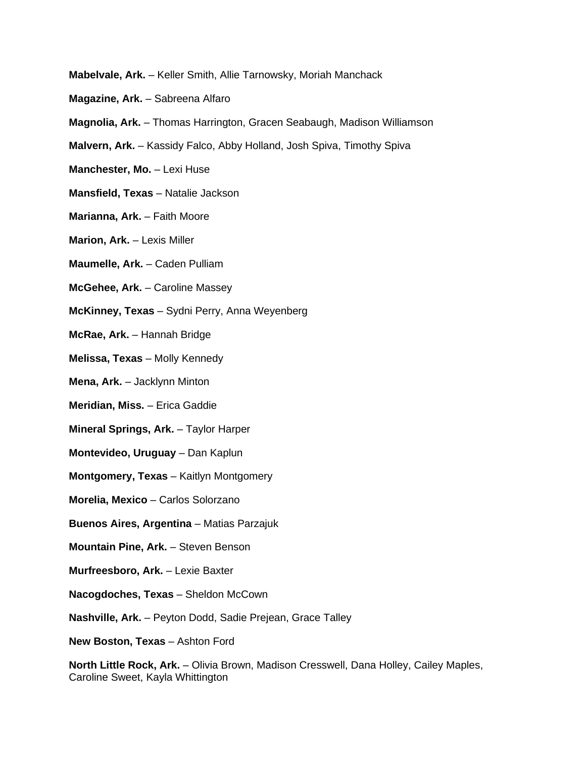- **Mabelvale, Ark.** Keller Smith, Allie Tarnowsky, Moriah Manchack
- **Magazine, Ark.** Sabreena Alfaro
- **Magnolia, Ark.** Thomas Harrington, Gracen Seabaugh, Madison Williamson
- **Malvern, Ark.** Kassidy Falco, Abby Holland, Josh Spiva, Timothy Spiva
- **Manchester, Mo.** Lexi Huse
- **Mansfield, Texas** Natalie Jackson
- **Marianna, Ark.** Faith Moore
- **Marion, Ark.** Lexis Miller
- **Maumelle, Ark.** Caden Pulliam
- **McGehee, Ark.** Caroline Massey
- **McKinney, Texas** Sydni Perry, Anna Weyenberg
- **McRae, Ark.** Hannah Bridge
- **Melissa, Texas** Molly Kennedy
- **Mena, Ark.** Jacklynn Minton
- **Meridian, Miss.** Erica Gaddie
- **Mineral Springs, Ark.** Taylor Harper
- **Montevideo, Uruguay** Dan Kaplun
- **Montgomery, Texas** Kaitlyn Montgomery
- **Morelia, Mexico** Carlos Solorzano
- **Buenos Aires, Argentina** Matias Parzajuk
- **Mountain Pine, Ark.** Steven Benson
- **Murfreesboro, Ark.** Lexie Baxter
- **Nacogdoches, Texas** Sheldon McCown
- **Nashville, Ark.** Peyton Dodd, Sadie Prejean, Grace Talley
- **New Boston, Texas** Ashton Ford

**North Little Rock, Ark.** – Olivia Brown, Madison Cresswell, Dana Holley, Cailey Maples, Caroline Sweet, Kayla Whittington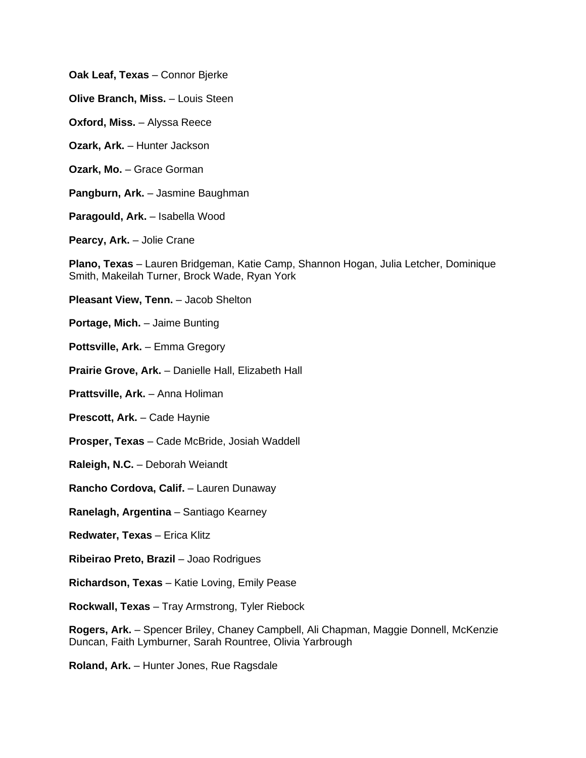**Oak Leaf, Texas** – Connor Bjerke

**Olive Branch, Miss.** – Louis Steen

**Oxford, Miss.** – Alyssa Reece

**Ozark, Ark.** – Hunter Jackson

**Ozark, Mo.** – Grace Gorman

**Pangburn, Ark.** – Jasmine Baughman

**Paragould, Ark.** – Isabella Wood

**Pearcy, Ark.** – Jolie Crane

**Plano, Texas** – Lauren Bridgeman, Katie Camp, Shannon Hogan, Julia Letcher, Dominique Smith, Makeilah Turner, Brock Wade, Ryan York

**Pleasant View, Tenn.** – Jacob Shelton

**Portage, Mich.** – Jaime Bunting

**Pottsville, Ark.** – Emma Gregory

**Prairie Grove, Ark.** – Danielle Hall, Elizabeth Hall

**Prattsville, Ark.** – Anna Holiman

**Prescott, Ark.** – Cade Haynie

**Prosper, Texas** – Cade McBride, Josiah Waddell

**Raleigh, N.C.** – Deborah Weiandt

**Rancho Cordova, Calif.** – Lauren Dunaway

**Ranelagh, Argentina** – Santiago Kearney

**Redwater, Texas** – Erica Klitz

**Ribeirao Preto, Brazil** – Joao Rodrigues

**Richardson, Texas** – Katie Loving, Emily Pease

**Rockwall, Texas** – Tray Armstrong, Tyler Riebock

**Rogers, Ark.** – Spencer Briley, Chaney Campbell, Ali Chapman, Maggie Donnell, McKenzie Duncan, Faith Lymburner, Sarah Rountree, Olivia Yarbrough

**Roland, Ark.** – Hunter Jones, Rue Ragsdale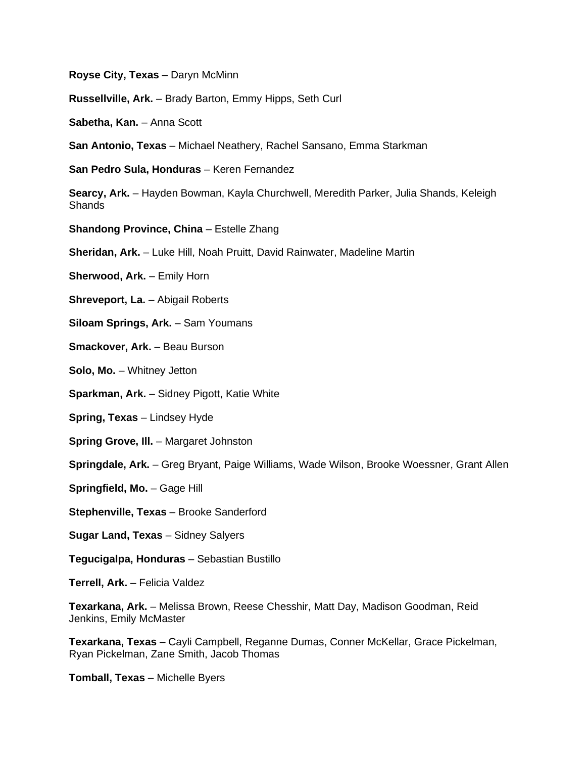**Royse City, Texas** – Daryn McMinn

**Russellville, Ark.** – Brady Barton, Emmy Hipps, Seth Curl

**Sabetha, Kan.** – Anna Scott

**San Antonio, Texas** – Michael Neathery, Rachel Sansano, Emma Starkman

**San Pedro Sula, Honduras** – Keren Fernandez

**Searcy, Ark.** – Hayden Bowman, Kayla Churchwell, Meredith Parker, Julia Shands, Keleigh Shands

**Shandong Province, China** – Estelle Zhang

**Sheridan, Ark.** – Luke Hill, Noah Pruitt, David Rainwater, Madeline Martin

**Sherwood, Ark.** – Emily Horn

**Shreveport, La.** – Abigail Roberts

**Siloam Springs, Ark.** – Sam Youmans

**Smackover, Ark.** – Beau Burson

**Solo, Mo.** – Whitney Jetton

**Sparkman, Ark.** – Sidney Pigott, Katie White

**Spring, Texas** – Lindsey Hyde

**Spring Grove, Ill.** – Margaret Johnston

**Springdale, Ark.** – Greg Bryant, Paige Williams, Wade Wilson, Brooke Woessner, Grant Allen

**Springfield, Mo.** – Gage Hill

**Stephenville, Texas** – Brooke Sanderford

**Sugar Land, Texas** – Sidney Salyers

**Tegucigalpa, Honduras** – Sebastian Bustillo

**Terrell, Ark.** – Felicia Valdez

**Texarkana, Ark.** – Melissa Brown, Reese Chesshir, Matt Day, Madison Goodman, Reid Jenkins, Emily McMaster

**Texarkana, Texas** – Cayli Campbell, Reganne Dumas, Conner McKellar, Grace Pickelman, Ryan Pickelman, Zane Smith, Jacob Thomas

**Tomball, Texas** – Michelle Byers